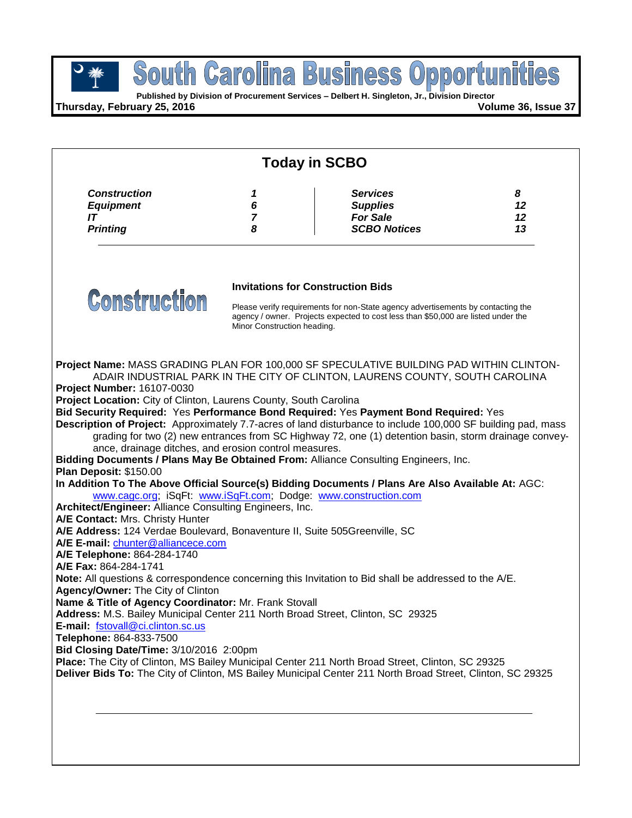

**Published by Division of Procurement Services – Delbert H. Singleton, Jr., Division Director**

**Thursday, February 25, 2016 Volume 36, Issue 37**

| <b>Today in SCBO</b>                                                                                                                                                                                                                                                                                                                                                                                                                                                                                                                                                                                                                                                                                                                                                                                                                                                                                                                                                                                                                                                                                                                                                                                                                                                                                                                                                                                                                                                                                                                                                                                                                                   |                               |                                                                                                                                                                                                                   |                     |  |
|--------------------------------------------------------------------------------------------------------------------------------------------------------------------------------------------------------------------------------------------------------------------------------------------------------------------------------------------------------------------------------------------------------------------------------------------------------------------------------------------------------------------------------------------------------------------------------------------------------------------------------------------------------------------------------------------------------------------------------------------------------------------------------------------------------------------------------------------------------------------------------------------------------------------------------------------------------------------------------------------------------------------------------------------------------------------------------------------------------------------------------------------------------------------------------------------------------------------------------------------------------------------------------------------------------------------------------------------------------------------------------------------------------------------------------------------------------------------------------------------------------------------------------------------------------------------------------------------------------------------------------------------------------|-------------------------------|-------------------------------------------------------------------------------------------------------------------------------------------------------------------------------------------------------------------|---------------------|--|
| <b>Construction</b><br><b>Equipment</b><br>IT<br><b>Printing</b>                                                                                                                                                                                                                                                                                                                                                                                                                                                                                                                                                                                                                                                                                                                                                                                                                                                                                                                                                                                                                                                                                                                                                                                                                                                                                                                                                                                                                                                                                                                                                                                       | 1<br>6<br>$\overline{7}$<br>8 | <b>Services</b><br><b>Supplies</b><br><b>For Sale</b><br><b>SCBO Notices</b>                                                                                                                                      | 8<br>12<br>12<br>13 |  |
| <b>Construction</b>                                                                                                                                                                                                                                                                                                                                                                                                                                                                                                                                                                                                                                                                                                                                                                                                                                                                                                                                                                                                                                                                                                                                                                                                                                                                                                                                                                                                                                                                                                                                                                                                                                    | Minor Construction heading.   | <b>Invitations for Construction Bids</b><br>Please verify requirements for non-State agency advertisements by contacting the<br>agency / owner. Projects expected to cost less than \$50,000 are listed under the |                     |  |
| Project Name: MASS GRADING PLAN FOR 100,000 SF SPECULATIVE BUILDING PAD WITHIN CLINTON-<br>Project Number: 16107-0030<br>Project Location: City of Clinton, Laurens County, South Carolina<br>Bid Security Required: Yes Performance Bond Required: Yes Payment Bond Required: Yes<br>Description of Project: Approximately 7.7-acres of land disturbance to include 100,000 SF building pad, mass<br>ance, drainage ditches, and erosion control measures.<br>Bidding Documents / Plans May Be Obtained From: Alliance Consulting Engineers, Inc.<br>Plan Deposit: \$150.00<br>In Addition To The Above Official Source(s) Bidding Documents / Plans Are Also Available At: AGC:<br>www.cagc.org; iSqFt: www.iSqFt.com; Dodge: www.construction.com<br>Architect/Engineer: Alliance Consulting Engineers, Inc.<br>A/E Contact: Mrs. Christy Hunter<br>A/E Address: 124 Verdae Boulevard, Bonaventure II, Suite 505Greenville, SC<br>A/E E-mail: chunter@alliancece.com<br>A/E Telephone: 864-284-1740<br>A/E Fax: 864-284-1741<br>Note: All questions & correspondence concerning this Invitation to Bid shall be addressed to the A/E.<br>Agency/Owner: The City of Clinton<br>Name & Title of Agency Coordinator: Mr. Frank Stovall<br>Address: M.S. Bailey Municipal Center 211 North Broad Street, Clinton, SC 29325<br>E-mail: fstovall@ci.clinton.sc.us<br>Telephone: 864-833-7500<br>Bid Closing Date/Time: 3/10/2016 2:00pm<br>Place: The City of Clinton, MS Bailey Municipal Center 211 North Broad Street, Clinton, SC 29325<br>Deliver Bids To: The City of Clinton, MS Bailey Municipal Center 211 North Broad Street, Clinton, SC 29325 |                               | ADAIR INDUSTRIAL PARK IN THE CITY OF CLINTON, LAURENS COUNTY, SOUTH CAROLINA<br>grading for two (2) new entrances from SC Highway 72, one (1) detention basin, storm drainage convey-                             |                     |  |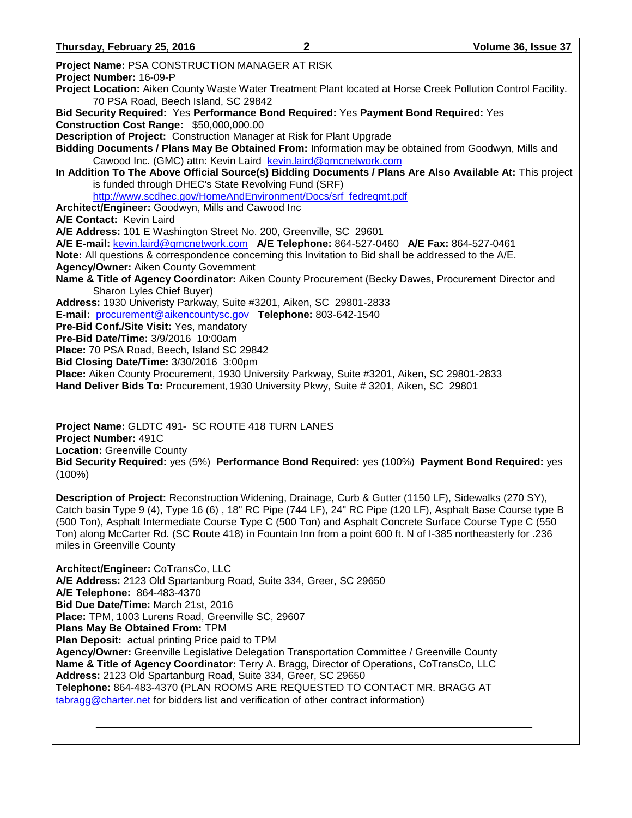| $\mathbf{2}$<br>Thursday, February 25, 2016<br>Volume 36, Issue 37                                                                                                                    |  |  |  |  |
|---------------------------------------------------------------------------------------------------------------------------------------------------------------------------------------|--|--|--|--|
| Project Name: PSA CONSTRUCTION MANAGER AT RISK<br>Project Number: 16-09-P                                                                                                             |  |  |  |  |
| Project Location: Aiken County Waste Water Treatment Plant located at Horse Creek Pollution Control Facility.<br>70 PSA Road, Beech Island, SC 29842                                  |  |  |  |  |
| Bid Security Required: Yes Performance Bond Required: Yes Payment Bond Required: Yes<br>Construction Cost Range: \$50,000,000.00                                                      |  |  |  |  |
| <b>Description of Project: Construction Manager at Risk for Plant Upgrade</b><br>Bidding Documents / Plans May Be Obtained From: Information may be obtained from Goodwyn, Mills and  |  |  |  |  |
| Cawood Inc. (GMC) attn: Kevin Laird kevin.laird@gmcnetwork.com<br>In Addition To The Above Official Source(s) Bidding Documents / Plans Are Also Available At: This project           |  |  |  |  |
| is funded through DHEC's State Revolving Fund (SRF)                                                                                                                                   |  |  |  |  |
| http://www.scdhec.gov/HomeAndEnvironment/Docs/srf_fedreqmt.pdf<br>Architect/Engineer: Goodwyn, Mills and Cawood Inc                                                                   |  |  |  |  |
| <b>A/E Contact: Kevin Laird</b>                                                                                                                                                       |  |  |  |  |
| A/E Address: 101 E Washington Street No. 200, Greenville, SC 29601<br>A/E E-mail: kevin.laird@gmcnetwork.com A/E Telephone: 864-527-0460 A/E Fax: 864-527-0461                        |  |  |  |  |
| Note: All questions & correspondence concerning this Invitation to Bid shall be addressed to the A/E.                                                                                 |  |  |  |  |
| <b>Agency/Owner: Aiken County Government</b><br>Name & Title of Agency Coordinator: Aiken County Procurement (Becky Dawes, Procurement Director and<br>Sharon Lyles Chief Buyer)      |  |  |  |  |
| Address: 1930 Univeristy Parkway, Suite #3201, Aiken, SC 29801-2833                                                                                                                   |  |  |  |  |
| E-mail: procurement@aikencountysc.gov Telephone: 803-642-1540<br>Pre-Bid Conf./Site Visit: Yes, mandatory                                                                             |  |  |  |  |
| <b>Pre-Bid Date/Time: 3/9/2016 10:00am</b>                                                                                                                                            |  |  |  |  |
| Place: 70 PSA Road, Beech, Island SC 29842<br>Bid Closing Date/Time: 3/30/2016 3:00pm                                                                                                 |  |  |  |  |
| Place: Aiken County Procurement, 1930 University Parkway, Suite #3201, Aiken, SC 29801-2833<br>Hand Deliver Bids To: Procurement, 1930 University Pkwy, Suite # 3201, Aiken, SC 29801 |  |  |  |  |

**Project Name:** GLDTC 491- SC ROUTE 418 TURN LANES **Project Number:** 491C **Location:** Greenville County **Bid Security Required:** yes (5%) **Performance Bond Required:** yes (100%) **Payment Bond Required:** yes (100%)

**Description of Project:** Reconstruction Widening, Drainage, Curb & Gutter (1150 LF), Sidewalks (270 SY), Catch basin Type 9 (4), Type 16 (6) , 18" RC Pipe (744 LF), 24" RC Pipe (120 LF), Asphalt Base Course type B (500 Ton), Asphalt Intermediate Course Type C (500 Ton) and Asphalt Concrete Surface Course Type C (550 Ton) along McCarter Rd. (SC Route 418) in Fountain Inn from a point 600 ft. N of I-385 northeasterly for .236 miles in Greenville County

**Architect/Engineer:** CoTransCo, LLC **A/E Address:** 2123 Old Spartanburg Road, Suite 334, Greer, SC 29650 **A/E Telephone:** 864-483-4370 **Bid Due Date/Time:** March 21st, 2016 **Place:** TPM, 1003 Lurens Road, Greenville SC, 29607 **Plans May Be Obtained From:** TPM **Plan Deposit:** actual printing Price paid to TPM **Agency/Owner:** Greenville Legislative Delegation Transportation Committee / Greenville County **Name & Title of Agency Coordinator:** Terry A. Bragg, Director of Operations, CoTransCo, LLC **Address:** 2123 Old Spartanburg Road, Suite 334, Greer, SC 29650 **Telephone:** 864-483-4370 (PLAN ROOMS ARE REQUESTED TO CONTACT MR. BRAGG AT [tabragg@charter.net](mailto:tabragg@charter.net) for bidders list and verification of other contract information)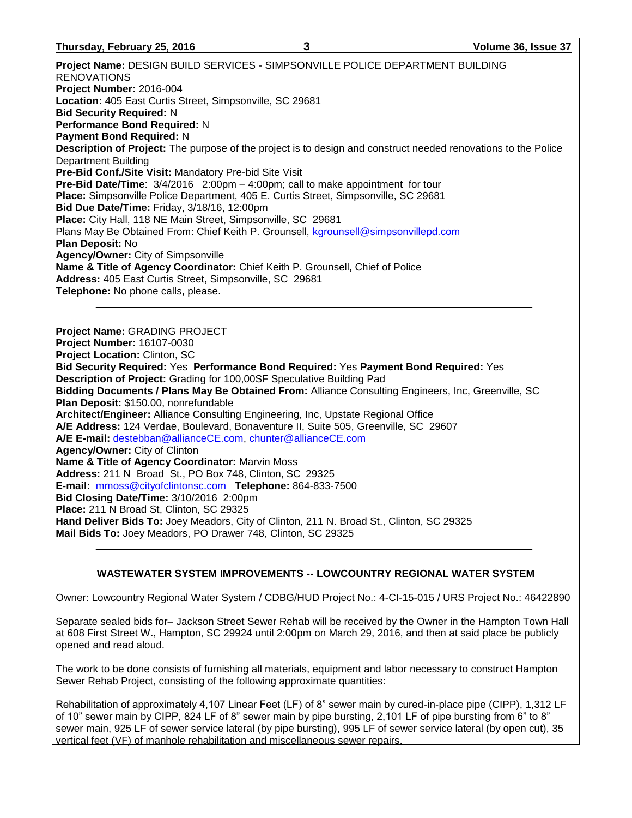#### **Thursday, February 25, 2016 3 Volume 36, Issue 37**

**Project Name:** DESIGN BUILD SERVICES - SIMPSONVILLE POLICE DEPARTMENT BUILDING RENOVATIONS **Project Number:** 2016-004 **Location:** 405 East Curtis Street, Simpsonville, SC 29681 **Bid Security Required:** N **Performance Bond Required:** N **Payment Bond Required:** N **Description of Project:** The purpose of the project is to design and construct needed renovations to the Police Department Building **Pre-Bid Conf./Site Visit:** Mandatory Pre-bid Site Visit **Pre-Bid Date/Time**:  $3/4/2016$  2:00pm – 4:00pm; call to make appointment for tour **Place:** Simpsonville Police Department, 405 E. Curtis Street, Simpsonville, SC 29681 **Bid Due Date/Time:** Friday, 3/18/16, 12:00pm **Place:** City Hall, 118 NE Main Street, Simpsonville, SC 29681 Plans May Be Obtained From: Chief Keith P. Grounsell, [kgrounsell@simpsonvillepd.com](mailto:kgrounsell@simpsonvillepd.com) **Plan Deposit:** No **Agency/Owner:** City of Simpsonville **Name & Title of Agency Coordinator:** Chief Keith P. Grounsell, Chief of Police **Address:** 405 East Curtis Street, Simpsonville, SC 29681 **Telephone:** No phone calls, please.

**Project Name:** GRADING PROJECT **Project Number:** 16107-0030 **Project Location:** Clinton, SC **Bid Security Required:** Yes **Performance Bond Required:** Yes **Payment Bond Required:** Yes **Description of Project:** Grading for 100,00SF Speculative Building Pad **Bidding Documents / Plans May Be Obtained From:** Alliance Consulting Engineers, Inc, Greenville, SC **Plan Deposit:** \$150.00, nonrefundable **Architect/Engineer:** Alliance Consulting Engineering, Inc, Upstate Regional Office **A/E Address:** 124 Verdae, Boulevard, Bonaventure II, Suite 505, Greenville, SC 29607 **A/E E-mail:** [destebban@allianceCE.com,](mailto:destebban@allianceCE.com) [chunter@allianceCE.com](mailto:chunter@allianceCE.com) **Agency/Owner:** City of Clinton **Name & Title of Agency Coordinator:** Marvin Moss **Address:** 211 N Broad St., PO Box 748, Clinton, SC 29325 **E-mail:** [mmoss@cityofclintonsc.com](mailto:mmoss@cityofclintonsc.com) **Telephone:** 864-833-7500 **Bid Closing Date/Time:** 3/10/2016 2:00pm **Place:** 211 N Broad St, Clinton, SC 29325 **Hand Deliver Bids To:** Joey Meadors, City of Clinton, 211 N. Broad St., Clinton, SC 29325 **Mail Bids To:** Joey Meadors, PO Drawer 748, Clinton, SC 29325

### **WASTEWATER SYSTEM IMPROVEMENTS -- LOWCOUNTRY REGIONAL WATER SYSTEM**

Owner: Lowcountry Regional Water System / CDBG/HUD Project No.: 4-CI-15-015 / URS Project No.: 46422890

Separate sealed bids for– Jackson Street Sewer Rehab will be received by the Owner in the Hampton Town Hall at 608 First Street W., Hampton, SC 29924 until 2:00pm on March 29, 2016, and then at said place be publicly opened and read aloud.

The work to be done consists of furnishing all materials, equipment and labor necessary to construct Hampton Sewer Rehab Project, consisting of the following approximate quantities:

Rehabilitation of approximately 4,107 Linear Feet (LF) of 8" sewer main by cured-in-place pipe (CIPP), 1,312 LF of 10" sewer main by CIPP, 824 LF of 8" sewer main by pipe bursting, 2,101 LF of pipe bursting from 6" to 8" sewer main, 925 LF of sewer service lateral (by pipe bursting), 995 LF of sewer service lateral (by open cut), 35 vertical feet (VF) of manhole rehabilitation and miscellaneous sewer repairs.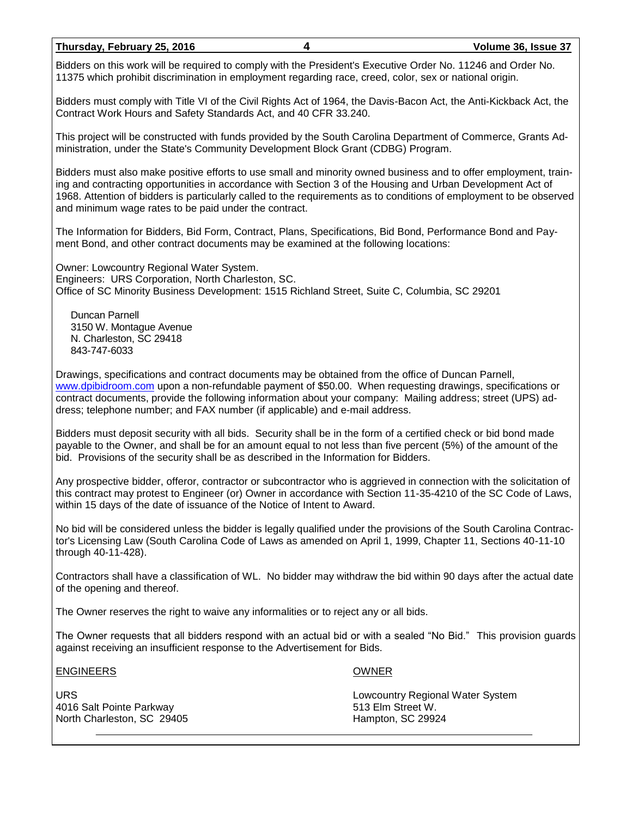#### **Thursday, February 25, 2016 4 Volume 36, Issue 37**

Bidders on this work will be required to comply with the President's Executive Order No. 11246 and Order No. 11375 which prohibit discrimination in employment regarding race, creed, color, sex or national origin.

Bidders must comply with Title VI of the Civil Rights Act of 1964, the Davis-Bacon Act, the Anti-Kickback Act, the Contract Work Hours and Safety Standards Act, and 40 CFR 33.240.

This project will be constructed with funds provided by the South Carolina Department of Commerce, Grants Administration, under the State's Community Development Block Grant (CDBG) Program.

Bidders must also make positive efforts to use small and minority owned business and to offer employment, training and contracting opportunities in accordance with Section 3 of the Housing and Urban Development Act of 1968. Attention of bidders is particularly called to the requirements as to conditions of employment to be observed and minimum wage rates to be paid under the contract.

The Information for Bidders, Bid Form, Contract, Plans, Specifications, Bid Bond, Performance Bond and Payment Bond, and other contract documents may be examined at the following locations:

Owner: Lowcountry Regional Water System. Engineers: URS Corporation, North Charleston, SC. Office of SC Minority Business Development: 1515 Richland Street, Suite C, Columbia, SC 29201

Duncan Parnell 3150 W. Montague Avenue N. Charleston, SC 29418 843-747-6033

Drawings, specifications and contract documents may be obtained from the office of Duncan Parnell, [www.dpibidroom.com](http://www.dpibidroom.com/) upon a non-refundable payment of \$50.00. When requesting drawings, specifications or contract documents, provide the following information about your company: Mailing address; street (UPS) address; telephone number; and FAX number (if applicable) and e-mail address.

Bidders must deposit security with all bids. Security shall be in the form of a certified check or bid bond made payable to the Owner, and shall be for an amount equal to not less than five percent (5%) of the amount of the bid. Provisions of the security shall be as described in the Information for Bidders.

Any prospective bidder, offeror, contractor or subcontractor who is aggrieved in connection with the solicitation of this contract may protest to Engineer (or) Owner in accordance with Section 11-35-4210 of the SC Code of Laws, within 15 days of the date of issuance of the Notice of Intent to Award.

No bid will be considered unless the bidder is legally qualified under the provisions of the South Carolina Contractor's Licensing Law (South Carolina Code of Laws as amended on April 1, 1999, Chapter 11, Sections 40-11-10 through 40-11-428).

Contractors shall have a classification of WL. No bidder may withdraw the bid within 90 days after the actual date of the opening and thereof.

The Owner reserves the right to waive any informalities or to reject any or all bids.

The Owner requests that all bidders respond with an actual bid or with a sealed "No Bid." This provision guards against receiving an insufficient response to the Advertisement for Bids.

#### ENGINEERS OWNER

4016 Salt Pointe Parkway 513 Elm Street W. North Charleston, SC 29405 **Hampton, SC 29924** 

URS Lowcountry Regional Water System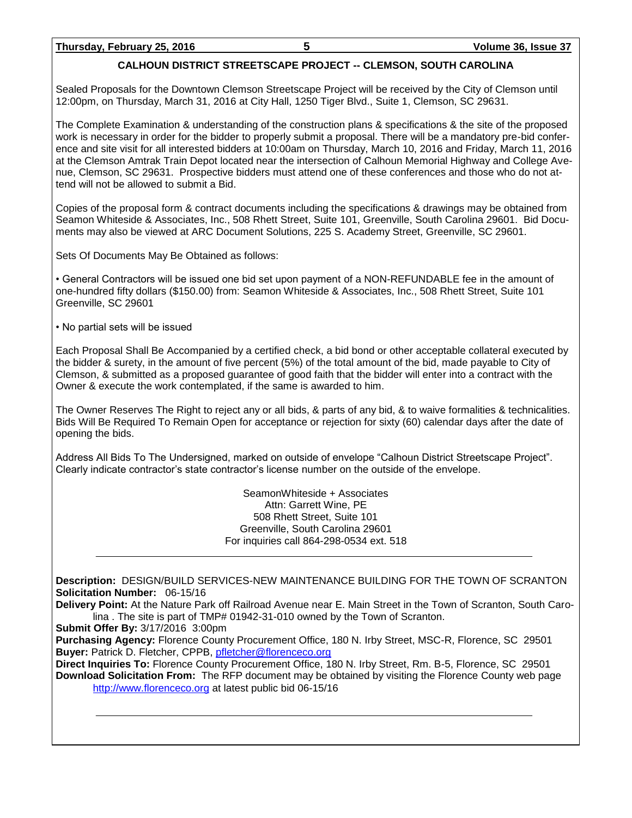**Thursday, February 25, 2016 5 Volume 36, Issue 37**

### **CALHOUN DISTRICT STREETSCAPE PROJECT -- CLEMSON, SOUTH CAROLINA**

Sealed Proposals for the Downtown Clemson Streetscape Project will be received by the City of Clemson until 12:00pm, on Thursday, March 31, 2016 at City Hall, 1250 Tiger Blvd., Suite 1, Clemson, SC 29631.

The Complete Examination & understanding of the construction plans & specifications & the site of the proposed work is necessary in order for the bidder to properly submit a proposal. There will be a mandatory pre-bid conference and site visit for all interested bidders at 10:00am on Thursday, March 10, 2016 and Friday, March 11, 2016 at the Clemson Amtrak Train Depot located near the intersection of Calhoun Memorial Highway and College Avenue, Clemson, SC 29631. Prospective bidders must attend one of these conferences and those who do not attend will not be allowed to submit a Bid.

Copies of the proposal form & contract documents including the specifications & drawings may be obtained from Seamon Whiteside & Associates, Inc., 508 Rhett Street, Suite 101, Greenville, South Carolina 29601. Bid Documents may also be viewed at ARC Document Solutions, 225 S. Academy Street, Greenville, SC 29601.

Sets Of Documents May Be Obtained as follows:

• General Contractors will be issued one bid set upon payment of a NON-REFUNDABLE fee in the amount of one-hundred fifty dollars (\$150.00) from: Seamon Whiteside & Associates, Inc., 508 Rhett Street, Suite 101 Greenville, SC 29601

• No partial sets will be issued

Each Proposal Shall Be Accompanied by a certified check, a bid bond or other acceptable collateral executed by the bidder & surety, in the amount of five percent (5%) of the total amount of the bid, made payable to City of Clemson, & submitted as a proposed guarantee of good faith that the bidder will enter into a contract with the Owner & execute the work contemplated, if the same is awarded to him.

The Owner Reserves The Right to reject any or all bids, & parts of any bid, & to waive formalities & technicalities. Bids Will Be Required To Remain Open for acceptance or rejection for sixty (60) calendar days after the date of opening the bids.

Address All Bids To The Undersigned, marked on outside of envelope "Calhoun District Streetscape Project". Clearly indicate contractor's state contractor's license number on the outside of the envelope.

> SeamonWhiteside + Associates Attn: Garrett Wine, PE 508 Rhett Street, Suite 101 Greenville, South Carolina 29601 For inquiries call 864-298-0534 ext. 518

**Description:** DESIGN/BUILD SERVICES-NEW MAINTENANCE BUILDING FOR THE TOWN OF SCRANTON **Solicitation Number:** 06-15/16

**Delivery Point:** At the Nature Park off Railroad Avenue near E. Main Street in the Town of Scranton, South Carolina . The site is part of TMP# 01942-31-010 owned by the Town of Scranton.

**Submit Offer By:** 3/17/2016 3:00pm

**Purchasing Agency:** Florence County Procurement Office, 180 N. Irby Street, MSC-R, Florence, SC 29501 **Buyer:** Patrick D. Fletcher, CPPB, [pfletcher@florenceco.org](mailto:pfletcher@florenceco.org)

**Direct Inquiries To:** Florence County Procurement Office, 180 N. Irby Street, Rm. B-5, Florence, SC 29501 **Download Solicitation From:** The RFP document may be obtained by visiting the Florence County web page [http://www.florenceco.org](http://www.florenceco.org/) at latest public bid 06-15/16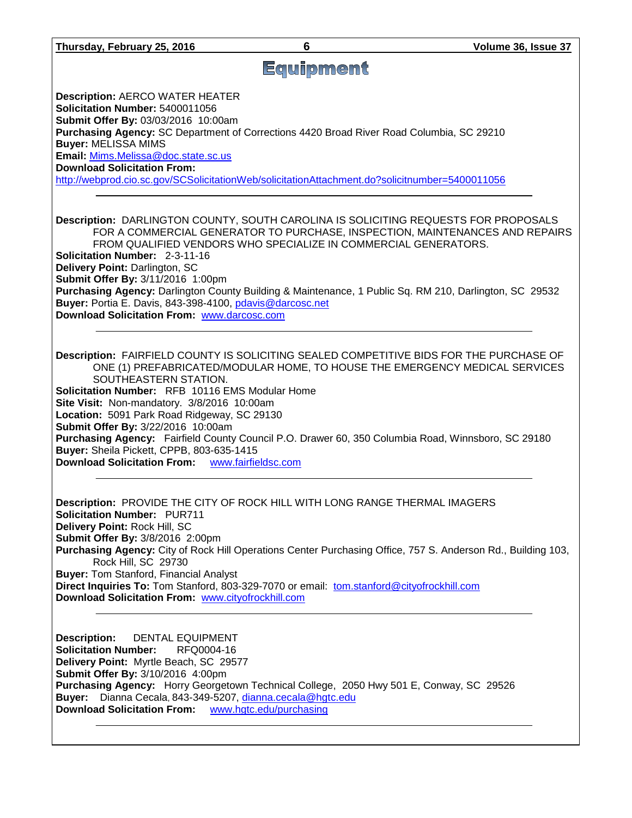| Thursday, February 25, 2016                                                                                                                                                                                                                                                                                                                                                                                                                                                                                                                                                                  | 6                                                               | Volume 36, Issue 37                                                          |  |  |
|----------------------------------------------------------------------------------------------------------------------------------------------------------------------------------------------------------------------------------------------------------------------------------------------------------------------------------------------------------------------------------------------------------------------------------------------------------------------------------------------------------------------------------------------------------------------------------------------|-----------------------------------------------------------------|------------------------------------------------------------------------------|--|--|
| Equipment                                                                                                                                                                                                                                                                                                                                                                                                                                                                                                                                                                                    |                                                                 |                                                                              |  |  |
| <b>Description: AERCO WATER HEATER</b><br>Solicitation Number: 5400011056<br>Submit Offer By: 03/03/2016 10:00am<br>Purchasing Agency: SC Department of Corrections 4420 Broad River Road Columbia, SC 29210<br><b>Buyer: MELISSA MIMS</b><br>Email: Mims.Melissa@doc.state.sc.us<br><b>Download Solicitation From:</b><br>http://webprod.cio.sc.gov/SCSolicitationWeb/solicitationAttachment.do?solicitnumber=5400011056                                                                                                                                                                    |                                                                 |                                                                              |  |  |
| Description: DARLINGTON COUNTY, SOUTH CAROLINA IS SOLICITING REQUESTS FOR PROPOSALS<br>Solicitation Number: 2-3-11-16<br>Delivery Point: Darlington, SC<br>Submit Offer By: 3/11/2016 1:00pm<br>Purchasing Agency: Darlington County Building & Maintenance, 1 Public Sq. RM 210, Darlington, SC 29532<br>Buyer: Portia E. Davis, 843-398-4100, pdavis@darcosc.net<br>Download Solicitation From: www.darcosc.com                                                                                                                                                                            | FROM QUALIFIED VENDORS WHO SPECIALIZE IN COMMERCIAL GENERATORS. | FOR A COMMERCIAL GENERATOR TO PURCHASE, INSPECTION, MAINTENANCES AND REPAIRS |  |  |
| Description: FAIRFIELD COUNTY IS SOLICITING SEALED COMPETITIVE BIDS FOR THE PURCHASE OF<br>ONE (1) PREFABRICATED/MODULAR HOME, TO HOUSE THE EMERGENCY MEDICAL SERVICES<br>SOUTHEASTERN STATION.<br>Solicitation Number: RFB 10116 EMS Modular Home<br>Site Visit: Non-mandatory. 3/8/2016 10:00am<br>Location: 5091 Park Road Ridgeway, SC 29130<br>Submit Offer By: 3/22/2016 10:00am<br>Purchasing Agency: Fairfield County Council P.O. Drawer 60, 350 Columbia Road, Winnsboro, SC 29180<br>Buyer: Sheila Pickett, CPPB, 803-635-1415<br>Download Solicitation From: www.fairfieldsc.com |                                                                 |                                                                              |  |  |
| Description: PROVIDE THE CITY OF ROCK HILL WITH LONG RANGE THERMAL IMAGERS<br><b>Solicitation Number: PUR711</b><br>Delivery Point: Rock Hill, SC<br><b>Submit Offer By: 3/8/2016 2:00pm</b><br>Purchasing Agency: City of Rock Hill Operations Center Purchasing Office, 757 S. Anderson Rd., Building 103,<br>Rock Hill, SC 29730<br><b>Buyer: Tom Stanford, Financial Analyst</b><br>Direct Inquiries To: Tom Stanford, 803-329-7070 or email: tom.stanford@cityofrockhill.com<br>Download Solicitation From: www.cityofrockhill.com                                                      |                                                                 |                                                                              |  |  |
| <b>Description:</b><br><b>DENTAL EQUIPMENT</b><br><b>Solicitation Number:</b><br>RFQ0004-16<br>Delivery Point: Myrtle Beach, SC 29577<br>Submit Offer By: 3/10/2016 4:00pm<br>Purchasing Agency: Horry Georgetown Technical College, 2050 Hwy 501 E, Conway, SC 29526<br>Buyer: Dianna Cecala, 843-349-5207, dianna.cecala@hgtc.edu<br>Download Solicitation From: www.hgtc.edu/purchasing                                                                                                                                                                                                   |                                                                 |                                                                              |  |  |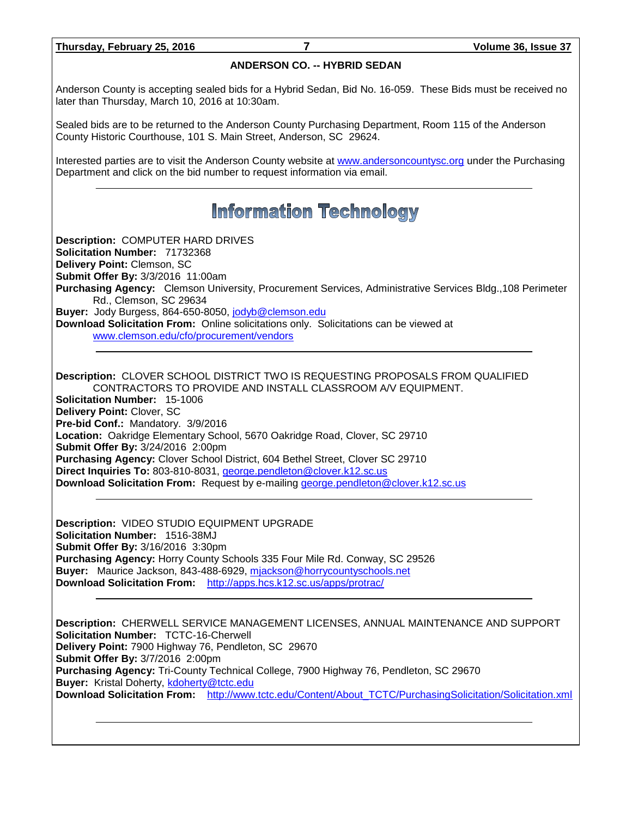#### **Thursday, February 25, 2016 7 Volume 36, Issue 37**

#### **ANDERSON CO. -- HYBRID SEDAN**

Anderson County is accepting sealed bids for a Hybrid Sedan, Bid No. 16-059. These Bids must be received no later than Thursday, March 10, 2016 at 10:30am.

Sealed bids are to be returned to the Anderson County Purchasing Department, Room 115 of the Anderson County Historic Courthouse, 101 S. Main Street, Anderson, SC 29624.

Interested parties are to visit the Anderson County website at [www.andersoncountysc.org](http://www.andersoncountysc.org/) under the Purchasing Department and click on the bid number to request information via email.

## **Information Technology**

**Description:** COMPUTER HARD DRIVES **Solicitation Number:** 71732368 **Delivery Point:** Clemson, SC **Submit Offer By:** 3/3/2016 11:00am **Purchasing Agency:** Clemson University, Procurement Services, Administrative Services Bldg.,108 Perimeter Rd., Clemson, SC 29634 Buyer: Jody Burgess, 864-650-8050, [jodyb@clemson.edu](mailto:jodyb@clemson.edu) **Download Solicitation From:** Online solicitations only. Solicitations can be viewed at

[www.clemson.edu/cfo/procurement/vendors](http://www.clemson.edu/cfo/procurement/vendors)

**Description:** CLOVER SCHOOL DISTRICT TWO IS REQUESTING PROPOSALS FROM QUALIFIED CONTRACTORS TO PROVIDE AND INSTALL CLASSROOM A/V EQUIPMENT. **Solicitation Number:** 15-1006 **Delivery Point:** Clover, SC **Pre-bid Conf.:** Mandatory. 3/9/2016 **Location:** Oakridge Elementary School, 5670 Oakridge Road, Clover, SC 29710 **Submit Offer By:** 3/24/2016 2:00pm **Purchasing Agency:** Clover School District, 604 Bethel Street, Clover SC 29710 **Direct Inquiries To:** 803-810-8031, [george.pendleton@clover.k12.sc.us](mailto:george.pendleton@clover.k12.sc.us) **Download Solicitation From:** Request by e-mailing [george.pendleton@clover.k12.sc.us](mailto:george.pendleton@clover.k12.sc.us)

**Description:** VIDEO STUDIO EQUIPMENT UPGRADE **Solicitation Number:** 1516-38MJ **Submit Offer By:** 3/16/2016 3:30pm **Purchasing Agency:** Horry County Schools 335 Four Mile Rd. Conway, SC 29526 **Buyer:** Maurice Jackson, 843-488-6929, [mjackson@horrycountyschools.net](mailto:mjackson@horrycountyschools.net) **Download Solicitation From:** <http://apps.hcs.k12.sc.us/apps/protrac/>

**Description:** CHERWELL SERVICE MANAGEMENT LICENSES, ANNUAL MAINTENANCE AND SUPPORT **Solicitation Number:** TCTC-16-Cherwell **Delivery Point:** 7900 Highway 76, Pendleton, SC 29670 **Submit Offer By:** 3/7/2016 2:00pm **Purchasing Agency:** Tri-County Technical College, 7900 Highway 76, Pendleton, SC 29670 **Buyer:** Kristal Doherty, [kdoherty@tctc.edu](mailto:kdoherty@tctc.edu) **Download Solicitation From:** [http://www.tctc.edu/Content/About\\_TCTC/PurchasingSolicitation/Solicitation.xml](http://www.tctc.edu/Content/About_TCTC/PurchasingSolicitation/Solicitation.xml)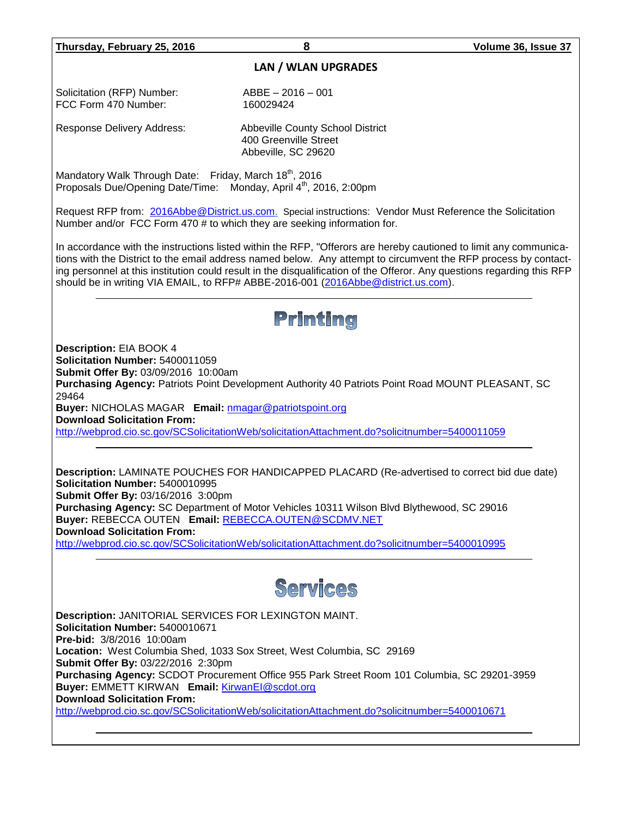**Thursday, February 25, 2016 8 Volume 36, Issue 37**

#### **LAN / WLAN UPGRADES**

Solicitation (RFP) Number: ABBE – 2016 – 001 FCC Form 470 Number: 160029424

Response Delivery Address: Abbeville County School District 400 Greenville Street

Mandatory Walk Through Date: Friday, March 18<sup>th</sup>, 2016 Proposals Due/Opening Date/Time: Monday, April 4<sup>th</sup>, 2016, 2:00pm

Request RFP from: [2016Abbe@District.us.com.](mailto:2016Abbe@District.us.com) Special instructions: Vendor Must Reference the Solicitation Number and/or FCC Form 470 # to which they are seeking information for.

Abbeville, SC 29620

In accordance with the instructions listed within the RFP, "Offerors are hereby cautioned to limit any communications with the District to the email address named below. Any attempt to circumvent the RFP process by contacting personnel at this institution could result in the disqualification of the Offeror. Any questions regarding this RFP should be in writing VIA EMAIL, to RFP# ABBE-2016-001 [\(2016Abbe@district.us.com\)](mailto:2016Abbe@district.us.com).

# Printing

**Description:** EIA BOOK 4 **Solicitation Number:** 5400011059 **Submit Offer By:** 03/09/2016 10:00am **Purchasing Agency:** Patriots Point Development Authority 40 Patriots Point Road MOUNT PLEASANT, SC 29464 **Buyer:** NICHOLAS MAGAR **Email:** [nmagar@patriotspoint.org](mailto:nmagar@patriotspoint.org) **Download Solicitation From:**  <http://webprod.cio.sc.gov/SCSolicitationWeb/solicitationAttachment.do?solicitnumber=5400011059>

**Description:** LAMINATE POUCHES FOR HANDICAPPED PLACARD (Re-advertised to correct bid due date) **Solicitation Number:** 5400010995

**Submit Offer By:** 03/16/2016 3:00pm

**Purchasing Agency:** SC Department of Motor Vehicles 10311 Wilson Blvd Blythewood, SC 29016 **Buyer:** REBECCA OUTEN **Email:** [REBECCA.OUTEN@SCDMV.NET](mailto:REBECCA.OUTEN@SCDMV.NET)

**Download Solicitation From:** 

<http://webprod.cio.sc.gov/SCSolicitationWeb/solicitationAttachment.do?solicitnumber=5400010995>



**Description:** JANITORIAL SERVICES FOR LEXINGTON MAINT. **Solicitation Number:** 5400010671 **Pre-bid:** 3/8/2016 10:00am **Location:** West Columbia Shed, 1033 Sox Street, West Columbia, SC 29169 **Submit Offer By:** 03/22/2016 2:30pm **Purchasing Agency:** SCDOT Procurement Office 955 Park Street Room 101 Columbia, SC 29201-3959 **Buyer:** EMMETT KIRWAN **Email:** [KirwanEI@scdot.org](mailto:KirwanEI@scdot.org) **Download Solicitation From:**  <http://webprod.cio.sc.gov/SCSolicitationWeb/solicitationAttachment.do?solicitnumber=5400010671>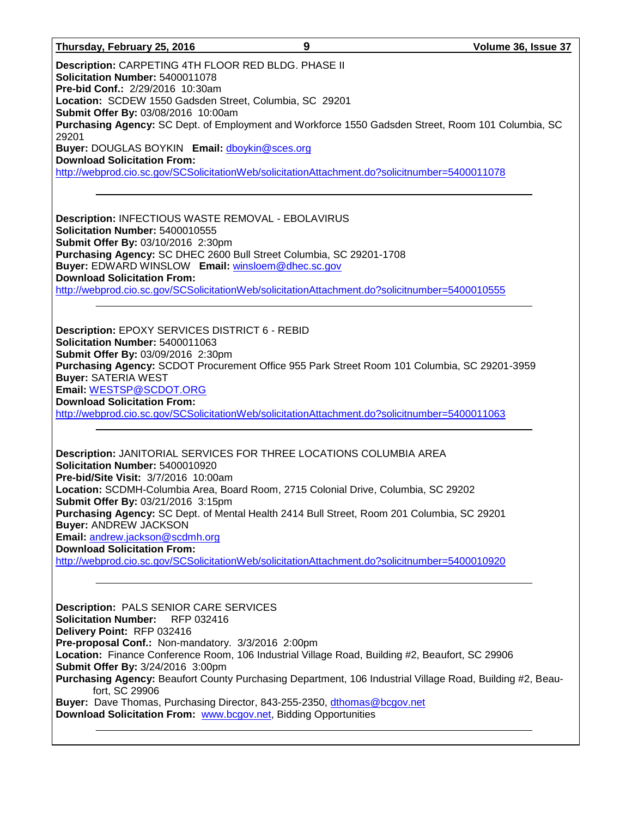#### **Thursday, February 25, 2016 9 Volume 36, Issue 37**

**Description:** CARPETING 4TH FLOOR RED BLDG. PHASE II **Solicitation Number:** 5400011078 **Pre-bid Conf.:** 2/29/2016 10:30am **Location:** SCDEW 1550 Gadsden Street, Columbia, SC 29201 **Submit Offer By:** 03/08/2016 10:00am **Purchasing Agency:** SC Dept. of Employment and Workforce 1550 Gadsden Street, Room 101 Columbia, SC 29201 **Buyer:** DOUGLAS BOYKIN **Email:** [dboykin@sces.org](mailto:dboykin@sces.org) **Download Solicitation From:**  <http://webprod.cio.sc.gov/SCSolicitationWeb/solicitationAttachment.do?solicitnumber=5400011078>

**Description:** INFECTIOUS WASTE REMOVAL - EBOLAVIRUS **Solicitation Number:** 5400010555 **Submit Offer By:** 03/10/2016 2:30pm **Purchasing Agency:** SC DHEC 2600 Bull Street Columbia, SC 29201-1708 **Buyer:** EDWARD WINSLOW **Email:** [winsloem@dhec.sc.gov](mailto:winsloem@dhec.sc.gov) **Download Solicitation From:**  <http://webprod.cio.sc.gov/SCSolicitationWeb/solicitationAttachment.do?solicitnumber=5400010555>

**Description:** EPOXY SERVICES DISTRICT 6 - REBID **Solicitation Number:** 5400011063 **Submit Offer By:** 03/09/2016 2:30pm **Purchasing Agency:** SCDOT Procurement Office 955 Park Street Room 101 Columbia, SC 29201-3959 **Buyer:** SATERIA WEST **Email:** [WESTSP@SCDOT.ORG](mailto:WESTSP@SCDOT.ORG) **Download Solicitation From:**  <http://webprod.cio.sc.gov/SCSolicitationWeb/solicitationAttachment.do?solicitnumber=5400011063>

**Description:** JANITORIAL SERVICES FOR THREE LOCATIONS COLUMBIA AREA **Solicitation Number:** 5400010920 **Pre-bid/Site Visit:** 3/7/2016 10:00am **Location:** SCDMH-Columbia Area, Board Room, 2715 Colonial Drive, Columbia, SC 29202 **Submit Offer By:** 03/21/2016 3:15pm **Purchasing Agency:** SC Dept. of Mental Health 2414 Bull Street, Room 201 Columbia, SC 29201 **Buyer:** ANDREW JACKSON **Email:** [andrew.jackson@scdmh.org](mailto:andrew.jackson@scdmh.org) **Download Solicitation From:**  <http://webprod.cio.sc.gov/SCSolicitationWeb/solicitationAttachment.do?solicitnumber=5400010920>

**Description:** PALS SENIOR CARE SERVICES **Solicitation Number:** RFP 032416 **Delivery Point:** RFP 032416 **Pre-proposal Conf.:** Non-mandatory. 3/3/2016 2:00pm **Location:** Finance Conference Room, 106 Industrial Village Road, Building #2, Beaufort, SC 29906 **Submit Offer By:** 3/24/2016 3:00pm **Purchasing Agency:** Beaufort County Purchasing Department, 106 Industrial Village Road, Building #2, Beaufort, SC 29906 **Buyer:** Dave Thomas, Purchasing Director, 843-255-2350, [dthomas@bcgov.net](mailto:dthomas@bcgov.net) **Download Solicitation From:** [www.bcgov.net,](http://www.bcgov.net/) Bidding Opportunities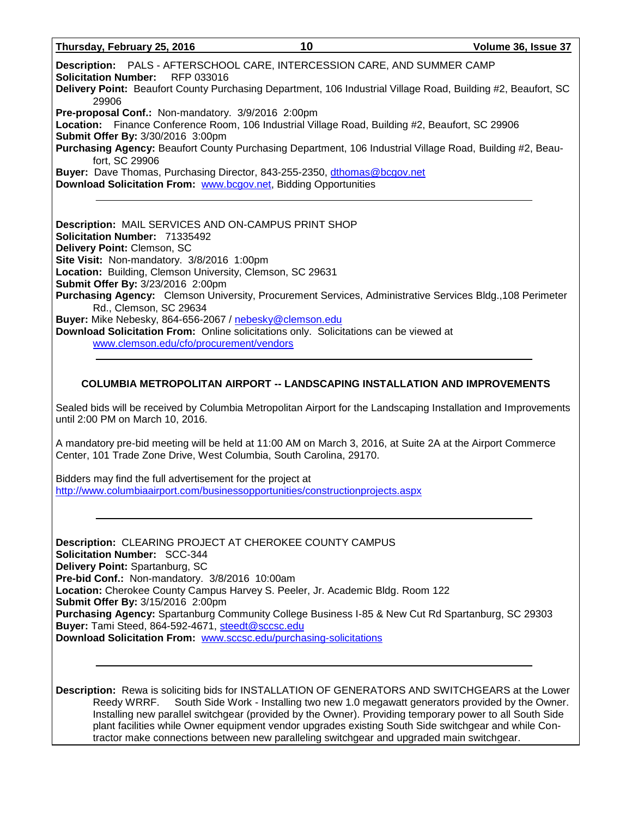#### **Thursday, February 25, 2016 10 Volume 36, Issue 37**

**Description:** PALS - AFTERSCHOOL CARE, INTERCESSION CARE, AND SUMMER CAMP **Solicitation Number:** RFP 033016 **Delivery Point:** Beaufort County Purchasing Department, 106 Industrial Village Road, Building #2, Beaufort, SC 29906 **Pre-proposal Conf.:** Non-mandatory. 3/9/2016 2:00pm **Location:** Finance Conference Room, 106 Industrial Village Road, Building #2, Beaufort, SC 29906 **Submit Offer By:** 3/30/2016 3:00pm **Purchasing Agency:** Beaufort County Purchasing Department, 106 Industrial Village Road, Building #2, Beaufort, SC 29906 **Buyer:** Dave Thomas, Purchasing Director, 843-255-2350, [dthomas@bcgov.net](mailto:dthomas@bcgov.net) **Download Solicitation From:** [www.bcgov.net,](http://www.bcgov.net/) Bidding Opportunities **Description:** MAIL SERVICES AND ON-CAMPUS PRINT SHOP **Solicitation Number:** 71335492 **Delivery Point:** Clemson, SC **Site Visit:** Non-mandatory. 3/8/2016 1:00pm **Location:** Building, Clemson University, Clemson, SC 29631 **Submit Offer By:** 3/23/2016 2:00pm **Purchasing Agency:** Clemson University, Procurement Services, Administrative Services Bldg.,108 Perimeter

Rd., Clemson, SC 29634

**Buyer:** Mike Nebesky, 864-656-2067 / [nebesky@clemson.edu](mailto:nebesky@clemson.edu)

**Download Solicitation From:** Online solicitations only. Solicitations can be viewed at [www.clemson.edu/cfo/procurement/vendors](http://www.clemson.edu/cfo/procurement/vendors)

#### **COLUMBIA METROPOLITAN AIRPORT -- LANDSCAPING INSTALLATION AND IMPROVEMENTS**

Sealed bids will be received by Columbia Metropolitan Airport for the Landscaping Installation and Improvements until 2:00 PM on March 10, 2016.

A mandatory pre-bid meeting will be held at 11:00 AM on March 3, 2016, at Suite 2A at the Airport Commerce Center, 101 Trade Zone Drive, West Columbia, South Carolina, 29170.

Bidders may find the full advertisement for the project at <http://www.columbiaairport.com/businessopportunities/constructionprojects.aspx>

**Description:** CLEARING PROJECT AT CHEROKEE COUNTY CAMPUS **Solicitation Number:** SCC-344 **Delivery Point:** Spartanburg, SC **Pre-bid Conf.:** Non-mandatory. 3/8/2016 10:00am **Location:** Cherokee County Campus Harvey S. Peeler, Jr. Academic Bldg. Room 122 **Submit Offer By:** 3/15/2016 2:00pm **Purchasing Agency:** Spartanburg Community College Business I-85 & New Cut Rd Spartanburg, SC 29303 **Buyer:** Tami Steed, 864-592-4671, [steedt@sccsc.edu](mailto:steedt@sccsc.edu) **Download Solicitation From:** [www.sccsc.edu/purchasing-solicitations](http://www.sccsc.edu/purchasing-solicitations)

**Description:** Rewa is soliciting bids for INSTALLATION OF GENERATORS AND SWITCHGEARS at the Lower Reedy WRRF. South Side Work - Installing two new 1.0 megawatt generators provided by the Owner. Installing new parallel switchgear (provided by the Owner). Providing temporary power to all South Side plant facilities while Owner equipment vendor upgrades existing South Side switchgear and while Contractor make connections between new paralleling switchgear and upgraded main switchgear.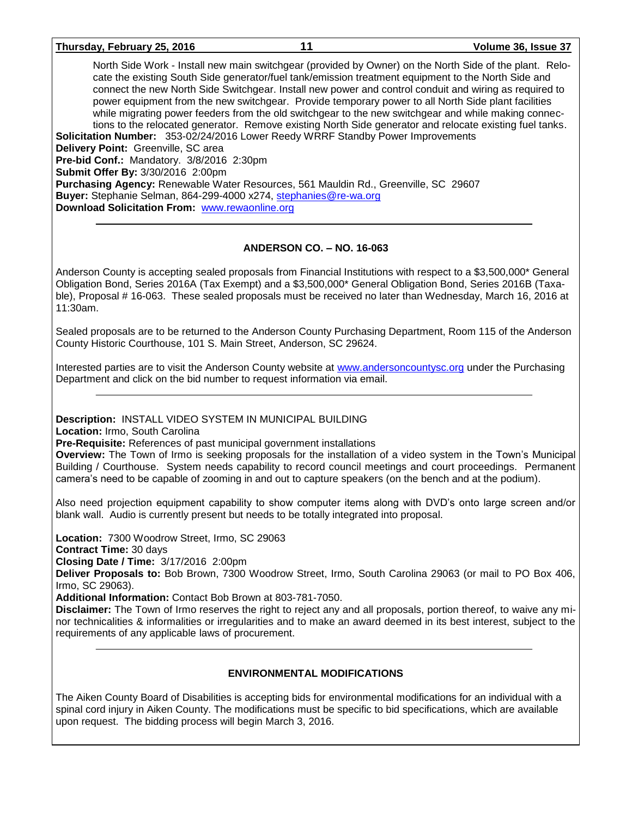#### **Thursday, February 25, 2016 11 Volume 36, Issue 37**

North Side Work - Install new main switchgear (provided by Owner) on the North Side of the plant. Relocate the existing South Side generator/fuel tank/emission treatment equipment to the North Side and connect the new North Side Switchgear. Install new power and control conduit and wiring as required to power equipment from the new switchgear. Provide temporary power to all North Side plant facilities while migrating power feeders from the old switchgear to the new switchgear and while making connections to the relocated generator. Remove existing North Side generator and relocate existing fuel tanks. **Solicitation Number:** 353-02/24/2016 Lower Reedy WRRF Standby Power Improvements **Delivery Point:** Greenville, SC area **Pre-bid Conf.:** Mandatory. 3/8/2016 2:30pm **Submit Offer By:** 3/30/2016 2:00pm **Purchasing Agency:** Renewable Water Resources, 561 Mauldin Rd., Greenville, SC 29607 **Buyer:** Stephanie Selman, 864-299-4000 x274, [stephanies@re-wa.org](mailto:stephanies@re-wa.org)

**Download Solicitation From:** [www.rewaonline.org](http://www.rewaonline.org/)

#### **ANDERSON CO. – NO. 16-063**

Anderson County is accepting sealed proposals from Financial Institutions with respect to a \$3,500,000\* General Obligation Bond, Series 2016A (Tax Exempt) and a \$3,500,000\* General Obligation Bond, Series 2016B (Taxable), Proposal # 16-063. These sealed proposals must be received no later than Wednesday, March 16, 2016 at 11:30am.

Sealed proposals are to be returned to the Anderson County Purchasing Department, Room 115 of the Anderson County Historic Courthouse, 101 S. Main Street, Anderson, SC 29624.

Interested parties are to visit the Anderson County website at [www.andersoncountysc.org](http://www.andersoncountysc.org/) under the Purchasing Department and click on the bid number to request information via email.

**Description:** INSTALL VIDEO SYSTEM IN MUNICIPAL BUILDING

**Location:** Irmo, South Carolina

**Pre-Requisite:** References of past municipal government installations

**Overview:** The Town of Irmo is seeking proposals for the installation of a video system in the Town's Municipal Building / Courthouse. System needs capability to record council meetings and court proceedings. Permanent camera's need to be capable of zooming in and out to capture speakers (on the bench and at the podium).

Also need projection equipment capability to show computer items along with DVD's onto large screen and/or blank wall. Audio is currently present but needs to be totally integrated into proposal.

**Location:** 7300 Woodrow Street, Irmo, SC 29063

**Contract Time:** 30 days

**Closing Date / Time:** 3/17/2016 2:00pm

**Deliver Proposals to:** Bob Brown, 7300 Woodrow Street, Irmo, South Carolina 29063 (or mail to PO Box 406, Irmo, SC 29063).

**Additional Information:** Contact Bob Brown at 803-781-7050.

**Disclaimer:** The Town of Irmo reserves the right to reject any and all proposals, portion thereof, to waive any minor technicalities & informalities or irregularities and to make an award deemed in its best interest, subject to the requirements of any applicable laws of procurement.

#### **ENVIRONMENTAL MODIFICATIONS**

The Aiken County Board of Disabilities is accepting bids for environmental modifications for an individual with a spinal cord injury in Aiken County. The modifications must be specific to bid specifications, which are available upon request. The bidding process will begin March 3, 2016.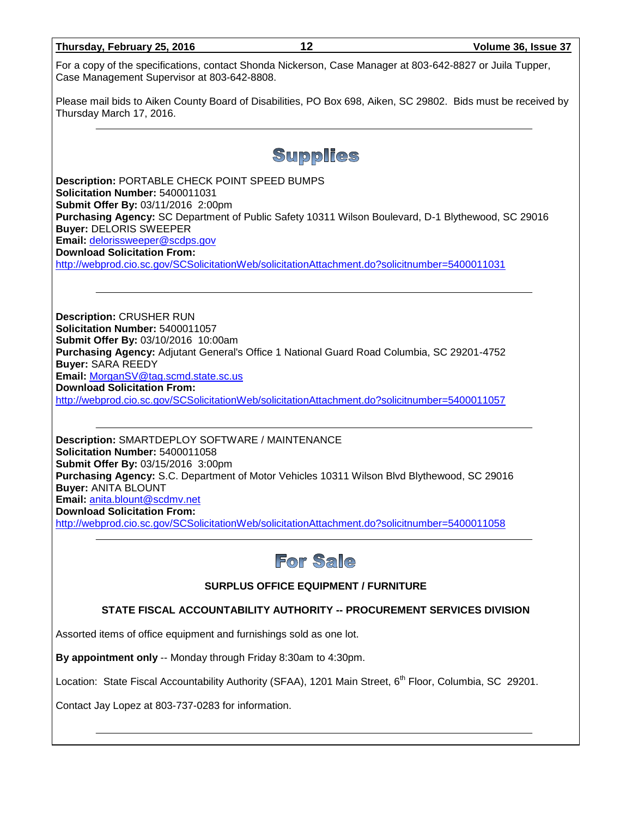For a copy of the specifications, contact Shonda Nickerson, Case Manager at 803-642-8827 or Juila Tupper, Case Management Supervisor at 803-642-8808.

Please mail bids to Aiken County Board of Disabilities, PO Box 698, Aiken, SC 29802. Bids must be received by Thursday March 17, 2016.

**Supplies** 

**Description:** PORTABLE CHECK POINT SPEED BUMPS **Solicitation Number:** 5400011031 **Submit Offer By:** 03/11/2016 2:00pm **Purchasing Agency:** SC Department of Public Safety 10311 Wilson Boulevard, D-1 Blythewood, SC 29016 **Buyer:** DELORIS SWEEPER **Email:** [delorissweeper@scdps.gov](mailto:delorissweeper@scdps.gov) **Download Solicitation From:**  <http://webprod.cio.sc.gov/SCSolicitationWeb/solicitationAttachment.do?solicitnumber=5400011031>

**Description:** CRUSHER RUN **Solicitation Number:** 5400011057 **Submit Offer By:** 03/10/2016 10:00am **Purchasing Agency:** Adjutant General's Office 1 National Guard Road Columbia, SC 29201-4752 **Buyer:** SARA REEDY **Email:** [MorganSV@tag.scmd.state.sc.us](mailto:MorganSV@tag.scmd.state.sc.us) **Download Solicitation From:**  <http://webprod.cio.sc.gov/SCSolicitationWeb/solicitationAttachment.do?solicitnumber=5400011057>

**Description:** SMARTDEPLOY SOFTWARE / MAINTENANCE **Solicitation Number:** 5400011058 **Submit Offer By:** 03/15/2016 3:00pm **Purchasing Agency:** S.C. Department of Motor Vehicles 10311 Wilson Blvd Blythewood, SC 29016 **Buyer:** ANITA BLOUNT **Email:** [anita.blount@scdmv.net](mailto:anita.blount@scdmv.net) **Download Solicitation From:**  <http://webprod.cio.sc.gov/SCSolicitationWeb/solicitationAttachment.do?solicitnumber=5400011058>

# For Sale

### **SURPLUS OFFICE EQUIPMENT / FURNITURE**

#### **STATE FISCAL ACCOUNTABILITY AUTHORITY -- PROCUREMENT SERVICES DIVISION**

Assorted items of office equipment and furnishings sold as one lot.

**By appointment only** -- Monday through Friday 8:30am to 4:30pm.

Location: State Fiscal Accountability Authority (SFAA), 1201 Main Street, 6<sup>th</sup> Floor, Columbia, SC 29201.

Contact Jay Lopez at 803-737-0283 for information.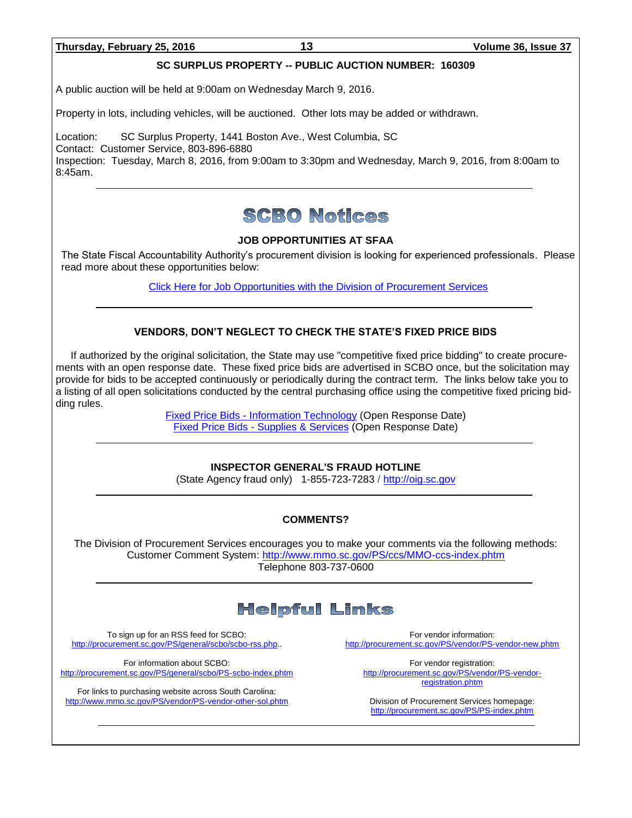#### **Thursday, February 25, 2016 13 Volume 36, Issue 37**

### **SC SURPLUS PROPERTY -- PUBLIC AUCTION NUMBER: 160309**

A public auction will be held at 9:00am on Wednesday March 9, 2016.

Property in lots, including vehicles, will be auctioned. Other lots may be added or withdrawn.

Location: SC Surplus Property, 1441 Boston Ave., West Columbia, SC Contact: Customer Service, 803-896-6880 Inspection: Tuesday, March 8, 2016, from 9:00am to 3:30pm and Wednesday, March 9, 2016, from 8:00am to 8:45am.

# **SCBO Notices**

#### **JOB OPPORTUNITIES AT SFAA**

The State Fiscal Accountability Authority's procurement division is looking for experienced professionals. Please read more about these opportunities below:

[Click Here for Job Opportunities with the Division of Procurement Services](http://procurement.sc.gov/webfiles/MMO_scbo/SCBO%20Online/SFAA_job_opportunities.pdf)

#### **VENDORS, DON'T NEGLECT TO CHECK THE STATE'S FIXED PRICE BIDS**

If authorized by the original solicitation, the State may use "competitive fixed price bidding" to create procurements with an open response date. These fixed price bids are advertised in SCBO once, but the solicitation may provide for bids to be accepted continuously or periodically during the contract term. The links below take you to a listing of all open solicitations conducted by the central purchasing office using the competitive fixed pricing bidding rules.

> Fixed Price Bids - [Information Technology](http://www.mmo.sc.gov/PS/vendor/PS-vendor-fixed-price-bids-it.phtm) (Open Response Date) Fixed Price Bids - [Supplies & Services](http://www.mmo.sc.gov/PS/vendor/PS-vendor-fixed-price-bids-ss.phtm) (Open Response Date)

#### **INSPECTOR GENERAL'S FRAUD HOTLINE**

(State Agency fraud only) 1-855-723-7283 / [http://oig.sc.gov](http://oig.sc.gov/)

#### **COMMENTS?**

The Division of Procurement Services encourages you to make your comments via the following methods: Customer Comment System:<http://www.mmo.sc.gov/PS/ccs/MMO-ccs-index.phtm> Telephone 803-737-0600

## **Helpful Links**

To sign up for an RSS feed for SCBO: [http://procurement.sc.gov/PS/general/scbo/scbo-rss.php.](http://procurement.sc.gov/PS/general/scbo/scbo-rss.php).

For information about SCBO: <http://procurement.sc.gov/PS/general/scbo/PS-scbo-index.phtm>

For links to purchasing website across South Carolina: <http://www.mmo.sc.gov/PS/vendor/PS-vendor-other-sol.phtm>

For vendor information: <http://procurement.sc.gov/PS/vendor/PS-vendor-new.phtm>

For vendor registration: [http://procurement.sc.gov/PS/vendor/PS-vendor](http://procurement.sc.gov/PS/vendor/PS-vendor-registration.phtm)[registration.phtm](http://procurement.sc.gov/PS/vendor/PS-vendor-registration.phtm)

Division of Procurement Services homepage: <http://procurement.sc.gov/PS/PS-index.phtm>